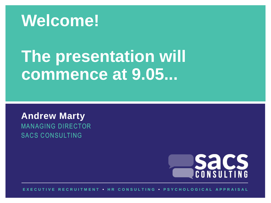

# **The presentation will commence at 9.05...**

**Andrew Marty** MANAGING DIRECTOR SACS CONSULTING



**E X E C U T I V E R E C R U I T M E N T • H R C O N S U L T I N G • P S Y C H O L O G I C A L A P P R A I S A L**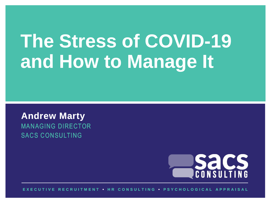# **The Stress of COVID-19 and How to Manage It**

**Andrew Marty** MANAGING DIRECTOR SACS CONSULTING



**E X E C U T I V E R E C R U I T M E N T • H R C O N S U L T I N G • P S Y C H O L O G I C A L A P P R A I S A L**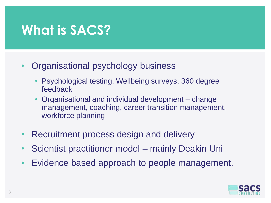#### **What is SACS?**

- Organisational psychology business
	- Psychological testing, Wellbeing surveys, 360 degree feedback
	- Organisational and individual development change management, coaching, career transition management, workforce planning
- Recruitment process design and delivery
- Scientist practitioner model mainly Deakin Uni
- Evidence based approach to people management.

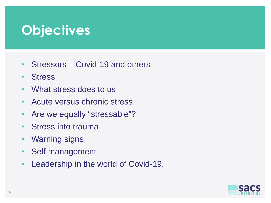#### **Objectives**

- Stressors Covid-19 and others
- **Stress**
- What stress does to us
- Acute versus chronic stress
- Are we equally "stressable"?
- Stress into trauma
- Warning signs
- Self management
- Leadership in the world of Covid-19.

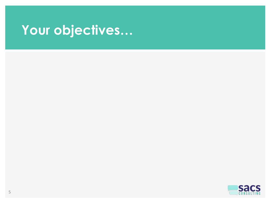## **Your objectives…**

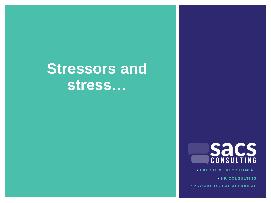## **Stressors and stress…**





**• E X E C U T I V E R E C R U I T M E N T**

**• HR CONSULTING** 

**• PSYCHOLOGICAL APPRAISAL**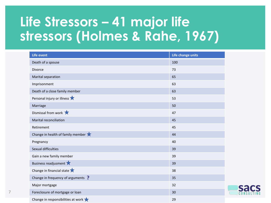## **Life Stressors – 41 major life stressors (Holmes & Rahe, 1967)**

| Life event                                               | Life change units |
|----------------------------------------------------------|-------------------|
| Death of a spouse                                        | 100               |
| Divorce                                                  | 73                |
| Marital separation                                       | 65                |
| Imprisonment                                             | 63                |
| Death of a close family member                           | 63                |
| Personal injury or illness                               | 53                |
| Marriage                                                 | 50                |
| Dismissal from work $\bigstar$                           | 47                |
| Marital reconciliation                                   | 45                |
| Retirement                                               | 45                |
| Change in health of family member $\bigstar$             | 44                |
| Pregnancy                                                | 40                |
| Sexual difficulties                                      | 39                |
| Gain a new family member                                 | 39                |
| Business readjusment                                     | 39                |
| Change in financial state $\bigstar$                     | 38                |
| Change in frequency of arguments ?                       | 35                |
| Major mortgage                                           | 32                |
| Foreclosure of mortgage or loan                          | 30                |
| Change in responsibilities at work $\blacktriangleright$ | 29                |

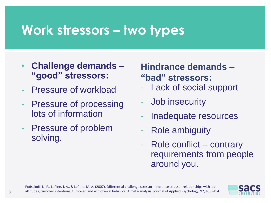#### **Work stressors – two types**

- **Challenge demands – "good" stressors:**
- Pressure of workload
- Pressure of processing lots of information
- Pressure of problem solving.

**Hindrance demands – "bad" stressors:**

- Lack of social support
- Job insecurity
- Inadequate resources
- Role ambiguity
- Role conflict contrary requirements from people around you.

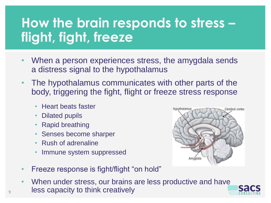### **How the brain responds to stress – flight, fight, freeze**

- When a person experiences stress, the amygdala sends a distress signal to the hypothalamus
- The hypothalamus communicates with other parts of the body, triggering the fight, flight or freeze stress response
	- Heart beats faster
	- Dilated pupils
	- **Rapid breathing**
	- Senses become sharper
	- Rush of adrenaline
	- Immune system suppressed



When under stress, our brains are less productive and have 9 less capacity to think creatively

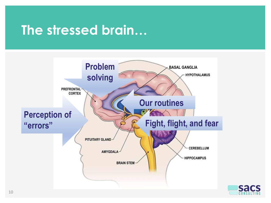#### **The stressed brain…**



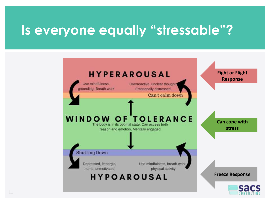#### **Is everyone equally "stressable"?**

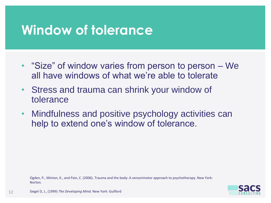#### **Window of tolerance**

- "Size" of window varies from person to person We all have windows of what we're able to tolerate
- Stress and trauma can shrink your window of tolerance
- Mindfulness and positive psychology activities can help to extend one's window of tolerance.

Ogden, P., Minton, K., and Pain, C. (2006). Trauma and the body: A sensorimotor approach to psychotherapy. New York: Norton.



12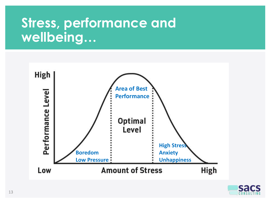#### **Stress, performance and wellbeing…**



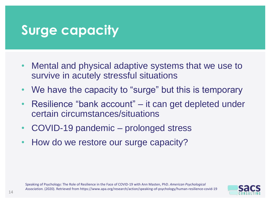#### **Surge capacity**

- Mental and physical adaptive systems that we use to survive in acutely stressful situations
- We have the capacity to "surge" but this is temporary
- Resilience "bank account" it can get depleted under certain circumstances/situations
- COVID-19 pandemic prolonged stress
- How do we restore our surge capacity?

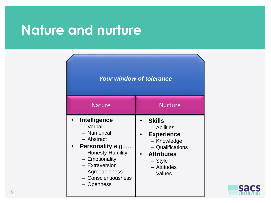#### **Nature and nurture**

#### *Your window of tolerance*

| <b>Nature</b>                                                                                                                                                                                | <b>Nurture</b>                                                                                                                                    |
|----------------------------------------------------------------------------------------------------------------------------------------------------------------------------------------------|---------------------------------------------------------------------------------------------------------------------------------------------------|
| Intelligence<br>- Verbal<br>- Numerical<br>- Abstract<br>Personality e.g.,<br>- Honesty-Humility<br>- Emotionality<br>- Extraversion<br>- Agreeableness<br>- Conscientiousness<br>- Openness | <b>Skills</b><br>- Abilities<br><b>Experience</b><br>- Knowledge<br>- Qualifications<br><b>Attributes</b><br>$-$ Style<br>- Attitudes<br>- Values |

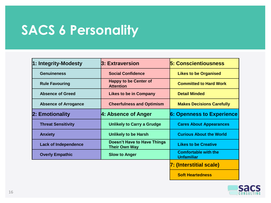#### **SACS 6 Personality**

| 1: Integrity-Modesty        | 3: Extraversion                                            | <b>5: Conscientiousness</b>                      |  |  |
|-----------------------------|------------------------------------------------------------|--------------------------------------------------|--|--|
| <b>Genuineness</b>          | <b>Social Confidence</b>                                   | <b>Likes to be Organised</b>                     |  |  |
| <b>Rule Favouring</b>       | <b>Happy to be Center of</b><br><b>Attention</b>           | <b>Committed to Hard Work</b>                    |  |  |
| <b>Absence of Greed</b>     | <b>Likes to be in Company</b>                              | <b>Detail Minded</b>                             |  |  |
| <b>Absence of Arrogance</b> | <b>Cheerfulness and Optimism</b>                           | <b>Makes Decisions Carefully</b>                 |  |  |
| 2: Emotionality             | 4: Absence of Anger                                        | <b>6: Openness to Experience</b>                 |  |  |
| <b>Threat Sensitivity</b>   | <b>Unlikely to Carry a Grudge</b>                          | <b>Cares About Appearances</b>                   |  |  |
| <b>Anxiety</b>              | <b>Unlikely to be Harsh</b>                                | <b>Curious About the World</b>                   |  |  |
| <b>Lack of Independence</b> | <b>Doesn't Have to Have Things</b><br><b>Their Own Way</b> | <b>Likes to be Creative</b>                      |  |  |
| <b>Overly Empathic</b>      | <b>Slow to Anger</b>                                       | <b>Comfortable with the</b><br><b>Unfamiliar</b> |  |  |
|                             |                                                            | 7: (Interstitial scale)                          |  |  |

**Soft Heartedness**

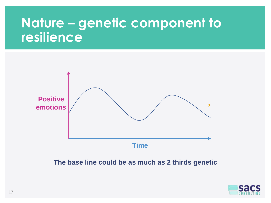#### **Nature – genetic component to resilience**



**The base line could be as much as 2 thirds genetic** 

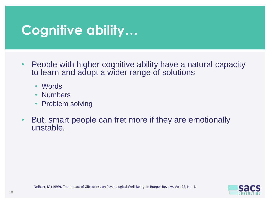#### **Cognitive ability…**

- People with higher cognitive ability have a natural capacity to learn and adopt a wider range of solutions
	- Words
	- Numbers
	- Problem solving
- But, smart people can fret more if they are emotionally unstable.

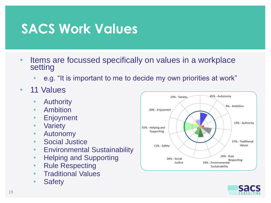#### **SACS Work Values**

- Items are focussed specifically on values in a workplace setting
	- e.g. "It is important to me to decide my own priorities at work"
- 11 Values
	- Authority
	- Ambition
	- Enjoyment
	- Variety
	- Autonomy
	- Social Justice
	- Environmental Sustainability
	- Helping and Supporting
	- Rule Respecting
	- Traditional Values
	- Safety



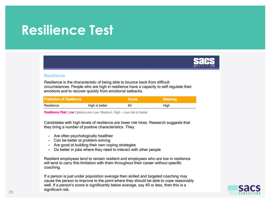#### **Resilience Test**



#### **Resilience**

Resilience is the characteristic of being able to bounce back from difficult circumstances. People who are high in resilience have a capacity to self regulate their emotions and to recover quickly from emotional setbacks.

| <b>Prediction of Resilience</b> |                       | Score, | Meaning |
|---------------------------------|-----------------------|--------|---------|
| Resilience                      | <b>High is better</b> | 64     | High    |

Resilience Risk: Low Options are Low, Medium, High - Low risk is better

Candidates with high levels of resilience are lower risk hires. Research suggests that they bring a number of positive characteristics. They:

- · Are often psychologically healthier
- · Can be better at problem-solving
- Are good at building their own coping strategies
- Do better in jobs where they need to interact with other people

Resilient employees tend to remain resilient and employees who are low in resilience will tend to carry this limitation with them throughout their career without specific coaching.

If a person is just under population average then skilled and targeted coaching may cause the person to improve to the point where they should be able to cope reasonably well. If a person's score is significantly below average, say 40 or less, then this is a significant risk.

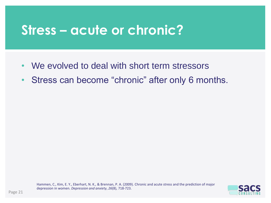#### **Stress – acute or chronic?**

- We evolved to deal with short term stressors
- Stress can become "chronic" after only 6 months.

Hammen, C., Kim, E. Y., Eberhart, N. K., & Brennan, P. A. (2009). Chronic and acute stress and the prediction of major depression in women. *Depression and anxiety*, *26*(8), 718-723.

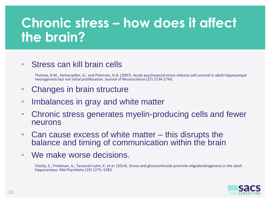## **Chronic stress – how does it affect the brain?**

#### • Stress can kill brain cells

Thomas, R.M., Hotsenpiller, G., and Peterson, D.A. (2007). Acute psychosocial stress reduces cell survival in adult hippocampal neurogenesis but not initial proliferation. Journal of Neuroscience (27) 2734-2743.

- Changes in brain structure
- Imbalances in gray and white matter
- Chronic stress generates myelin-producing cells and fewer neurons
- Can cause excess of white matter this disrupts the balance and timing of communication within the brain
- We make worse decisions.

Chetty, S., Friedman, A., Taravosh-Lahn, K. *et al.* (2014). Stress and glucocorticoids promote oligodendrogenesisin the adult hippocampus. *Mol Psychiatry* (19) 1275–1283.

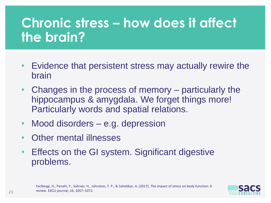## **Chronic stress – how does it affect the brain?**

- Evidence that persistent stress may actually rewire the brain
- Changes in the process of memory particularly the hippocampus & amygdala. We forget things more! Particularly words and spatial relations.
- Mood disorders e.g. depression
- Other mental illnesses
- Effects on the GI system. Significant digestive problems.

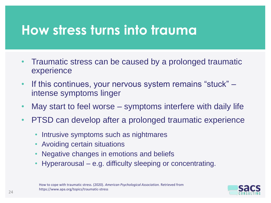#### **How stress turns into trauma**

- Traumatic stress can be caused by a prolonged traumatic experience
- If this continues, your nervous system remains "stuck" intense symptoms linger
- May start to feel worse symptoms interfere with daily life
- PTSD can develop after a prolonged traumatic experience
	- Intrusive symptoms such as nightmares
	- Avoiding certain situations
	- Negative changes in emotions and beliefs
	- Hyperarousal e.g. difficulty sleeping or concentrating.

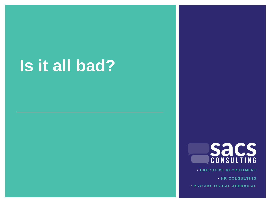# **Is it all bad?**



**• E X E C U T I V E R E C R U I T M E N T**

**• HR CONSULTING** 

**• PSYCHOLOGICAL APPRAISAL**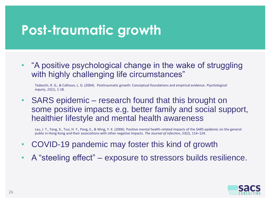#### **Post-traumatic growth**

• "A positive psychological change in the wake of struggling with highly challenging life circumstances"

Tedeschi, R. G., & Calhoun, L. G. (2004). Posttraumatic growth: Conceptual foundations and empirical evidence. *Psychological inquiry*, *15*(1), 1-18.

• SARS epidemic – research found that this brought on some positive impacts e.g. better family and social support, healthier lifestyle and mental health awareness

Lau, J. T., Yang, X., Tsui, H. Y., Pang, E., & Wing, Y. K. (2006). Positive mental health-related impacts of the SARS epidemic on the general public in Hong Kong and their associations with other negative impacts. *The Journal of infection*, *53*(2), 114–124.

- COVID-19 pandemic may foster this kind of growth
- A "steeling effect" exposure to stressors builds resilience.

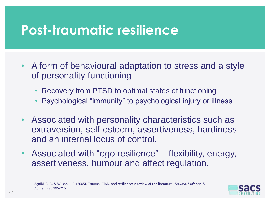#### **Post-traumatic resilience**

- A form of behavioural adaptation to stress and a style of personality functioning
	- Recovery from PTSD to optimal states of functioning
	- Psychological "immunity" to psychological injury or illness
- Associated with personality characteristics such as extraversion, self-esteem, assertiveness, hardiness and an internal locus of control.
- Associated with "ego resilience" flexibility, energy, assertiveness, humour and affect regulation.

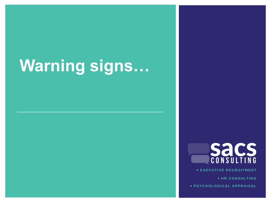# **Warning signs…**



**• E X E C U T I V E R E C R U I T M E N T**

**• HR CONSULTING** 

**• PSYCHOLOGICAL APPRAISAL**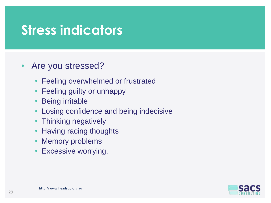#### **Stress indicators**

- Are you stressed?
	- Feeling overwhelmed or frustrated
	- Feeling guilty or unhappy
	- **Being irritable**
	- Losing confidence and being indecisive
	- Thinking negatively
	- Having racing thoughts
	- Memory problems
	- Excessive worrying.

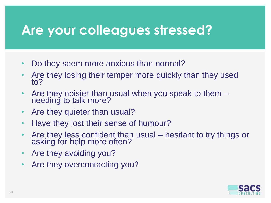#### **Are your colleagues stressed?**

- Do they seem more anxious than normal?
- Are they losing their temper more quickly than they used to?
- Are they noisier than usual when you speak to them needing to talk more?
- Are they quieter than usual?
- Have they lost their sense of humour?
- Are they less confident than usual hesitant to try things or asking for help more often?
- Are they avoiding you?
- Are they overcontacting you?

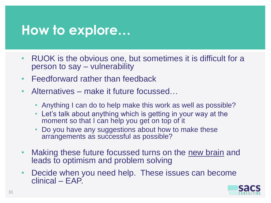#### **How to explore…**

- RUOK is the obvious one, but sometimes it is difficult for a person to say – vulnerability
- Feedforward rather than feedback
- Alternatives make it future focussed…
	- Anything I can do to help make this work as well as possible?
	- Let's talk about anything which is getting in your way at the moment so that I can help you get on top of it
	- Do you have any suggestions about how to make these arrangements as successful as possible?
- Making these future focussed turns on the new brain and leads to optimism and problem solving
- Decide when you need help. These issues can become clinical – EAP.

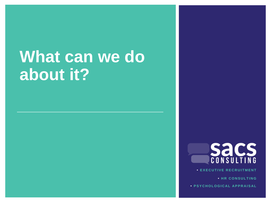# **What can we do about it?**



**• E X E C U T I V E R E C R U I T M E N T**

**• HR CONSULTING** 

**• P S Y C H O L O G I C A L A P P R A I S A L**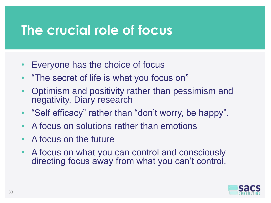#### **The crucial role of focus**

- Everyone has the choice of focus
- "The secret of life is what you focus on"
- Optimism and positivity rather than pessimism and negativity. Diary research
- "Self efficacy" rather than "don't worry, be happy".
- A focus on solutions rather than emotions
- A focus on the future
- A focus on what you can control and consciously directing focus away from what you can't control.

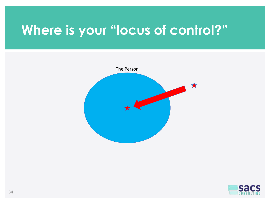#### **Where is your "locus of control?"**



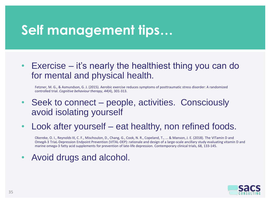#### **Self management tips…**

• Exercise – it's nearly the healthiest thing you can do for mental and physical health.

Fetzner, M. G., & Asmundson, G. J. (2015). Aerobic exercise reduces symptoms of posttraumatic stress disorder: A randomized controlled trial. *Cognitive behaviour therapy*, *44*(4), 301-313.

- Seek to connect people, activities. Consciously avoid isolating yourself
- Look after yourself eat healthy, non refined foods.

Okereke, O. I., Reynolds III, C. F., Mischoulon, D., Chang, G., Cook, N. R., Copeland, T., ... & Manson, J. E. (2018). The VITamin D and OmegA-3 TriaL-Depression Endpoint Prevention (VITAL-DEP): rationale and design of a large-scale ancillary study evaluating vitamin D and marine omega-3 fatty acid supplements for prevention of late-life depression. Contemporary clinical trials, 68, 133-145.

• Avoid drugs and alcohol.

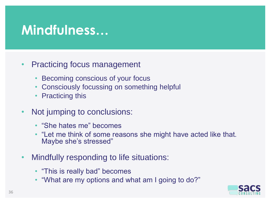#### **Mindfulness…**

- Practicing focus management
	- Becoming conscious of your focus
	- Consciously focussing on something helpful
	- Practicing this
- Not jumping to conclusions:
	- "She hates me" becomes
	- "Let me think of some reasons she might have acted like that. Maybe she's stressed"
- Mindfully responding to life situations:
	- "This is really bad" becomes
	- "What are my options and what am I going to do?"

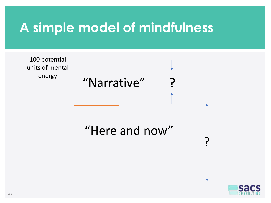#### **A simple model of mindfulness**

100 potential units of mental energy

"Narrative"

"Here and now"

?

?

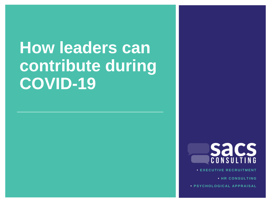# **How leaders can contribute during COVID-19**



**VE RECRUITMENT** 

**• HR CONSULTING** 

**• P S Y C H O L O G I C A L A P P R A I S A L**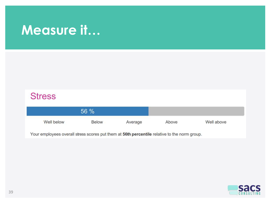#### **Measure it…**

| <b>Stress</b> |              |         |       |            |
|---------------|--------------|---------|-------|------------|
| 56 %          |              |         |       |            |
| Well below    | <b>Below</b> | Average | Above | Well above |

Your employees overall stress scores put them at 56th percentile relative to the norm group.

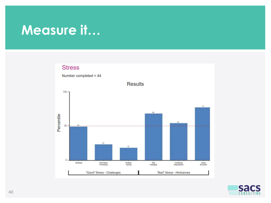#### **Measure it…**

#### **Stress**



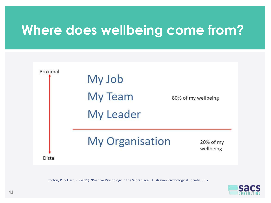#### **Where does wellbeing come from?**



Cotton, P. & Hart, P. (2011). 'Positive Psychology in the Workplace', Australian Psychological Society, 33(2).

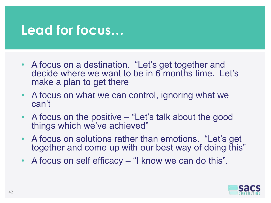#### **Lead for focus…**

- A focus on a destination. "Let's get together and decide where we want to be in 6 months time. Let's make a plan to get there
- A focus on what we can control, ignoring what we can't
- A focus on the positive "Let's talk about the good things which we've achieved"
- A focus on solutions rather than emotions. "Let's get together and come up with our best way of doing this"
- A focus on self efficacy "I know we can do this".

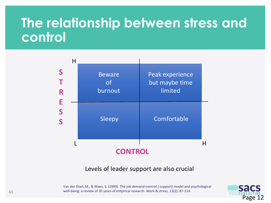#### **The relationship between stress and control**



#### Levels of leader support are also crucial

Van der Doef, M., & Maes, S. (1999). The job demand-control (-support) model and psychological well-being: a review of 20 years of empirical research. Work & stress, 13(2), 87-114.

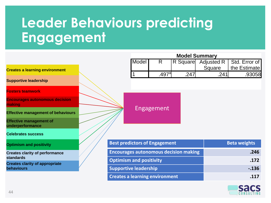## **Leader Behaviours predicting Engagement**

|                                                     |                                              | <b>Model Summary</b>                  |       |                   |      |                     |               |
|-----------------------------------------------------|----------------------------------------------|---------------------------------------|-------|-------------------|------|---------------------|---------------|
|                                                     |                                              |                                       | Model | R                 |      | R Square Adjusted R | Std. Error of |
| <b>Creates a learning environment</b>               |                                              |                                       |       |                   |      | Square              | the Estimate  |
|                                                     |                                              |                                       |       | .497 <sup>a</sup> | .247 | .241                | .93058        |
| <b>Supportive leadership</b>                        |                                              |                                       |       |                   |      |                     |               |
| <b>Fosters teamwork</b>                             |                                              |                                       |       |                   |      |                     |               |
| <b>Encourages autonomous decision</b><br>making     |                                              |                                       |       | <b>Engagement</b> |      |                     |               |
| <b>Effective management of behaviours</b>           |                                              |                                       |       |                   |      |                     |               |
| <b>Effective management of</b><br>underperformance  |                                              |                                       |       |                   |      |                     |               |
| <b>Celebrates success</b>                           |                                              |                                       |       |                   |      |                     |               |
| <b>Optimism and positivity</b>                      |                                              | <b>Best predictors of Engagement</b>  |       |                   |      | <b>Beta weights</b> |               |
| <b>Creates clarity of performance</b>               | <b>Encourages autonomous decision making</b> |                                       |       |                   | .246 |                     |               |
| <b>standards</b>                                    |                                              | <b>Optimism and positivity</b>        |       |                   |      |                     | .172          |
| <b>Creates clarity of appropriate</b><br>behaviours |                                              | <b>Supportive leadership</b>          |       |                   |      | $-.136$             |               |
|                                                     |                                              | <b>Creates a learning environment</b> |       |                   |      | .117                |               |

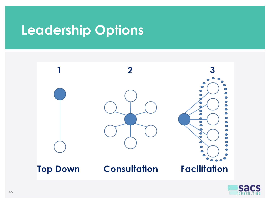#### **Leadership Options**



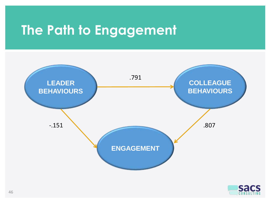#### **The Path to Engagement**